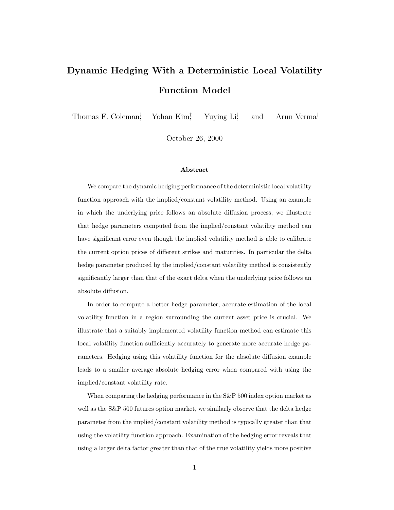# **Dynamic Hedging With a Deterministic Local Volatility Function Model**

Thomas F. Coleman† , Yohan Kim‡ Yuying Li<sup>†</sup> , and Arun Verma†

October 26, 2000

#### **Abstract**

We compare the dynamic hedging performance of the deterministic local volatility function approach with the implied/constant volatility method. Using an example in which the underlying price follows an absolute diffusion process, we illustrate that hedge parameters computed from the implied/constant volatility method can have significant error even though the implied volatility method is able to calibrate the current option prices of different strikes and maturities. In particular the delta hedge parameter produced by the implied/constant volatility method is consistently significantly larger than that of the exact delta when the underlying price follows an absolute diffusion.

In order to compute a better hedge parameter, accurate estimation of the local volatility function in a region surrounding the current asset price is crucial. We illustrate that a suitably implemented volatility function method can estimate this local volatility function sufficiently accurately to generate more accurate hedge parameters. Hedging using this volatility function for the absolute diffusion example leads to a smaller average absolute hedging error when compared with using the implied/constant volatility rate.

When comparing the hedging performance in the S&P 500 index option market as well as the S&P 500 futures option market, we similarly observe that the delta hedge parameter from the implied/constant volatility method is typically greater than that using the volatility function approach. Examination of the hedging error reveals that using a larger delta factor greater than that of the true volatility yields more positive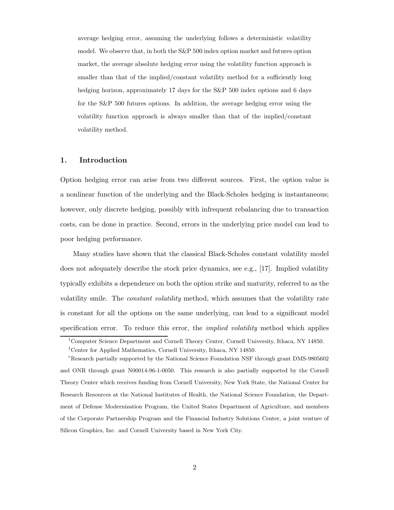average hedging error, assuming the underlying follows a deterministic volatility model. We observe that, in both the S&P 500 index option market and futures option market, the average absolute hedging error using the volatility function approach is smaller than that of the implied/constant volatility method for a sufficiently long hedging horizon, approximately 17 days for the S&P 500 index options and 6 days for the S&P 500 futures options. In addition, the average hedging error using the volatility function approach is always smaller than that of the implied/constant volatility method.

#### **1. Introduction**

Option hedging error can arise from two different sources. First, the option value is a nonlinear function of the underlying and the Black-Scholes hedging is instantaneous; however, only discrete hedging, possibly with infrequent rebalancing due to transaction costs, can be done in practice. Second, errors in the underlying price model can lead to poor hedging performance.

Many studies have shown that the classical Black-Scholes constant volatility model does not adequately describe the stock price dynamics, see e.g., [17]. Implied volatility typically exhibits a dependence on both the option strike and maturity, referred to as the volatility smile. The *constant volatility* method, which assumes that the volatility rate is constant for all the options on the same underlying, can lead to a significant model specification error. To reduce this error, the *implied volatility* method which applies

<sup>†</sup>Computer Science Department and Cornell Theory Center, Cornell University, Ithaca, NY 14850.

<sup>‡</sup>Center for Applied Mathematics, Cornell University, Ithaca, NY 14850.

<sup>∗</sup>Research partially supported by the National Science Foundation NSF through grant DMS-9805602 and ONR through grant N00014-96-1-0050. This research is also partially supported by the Cornell Theory Center which receives funding from Cornell University, New York State, the National Center for Research Resources at the National Institutes of Health, the National Science Foundation, the Department of Defense Modernization Program, the United States Department of Agriculture, and members of the Corporate Partnership Program and the Financial Industry Solutions Center, a joint venture of Silicon Graphics, Inc. and Cornell University based in New York City.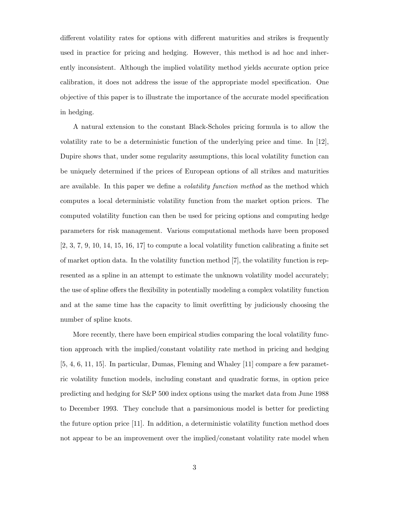different volatility rates for options with different maturities and strikes is frequently used in practice for pricing and hedging. However, this method is ad hoc and inherently inconsistent. Although the implied volatility method yields accurate option price calibration, it does not address the issue of the appropriate model specification. One objective of this paper is to illustrate the importance of the accurate model specification in hedging.

A natural extension to the constant Black-Scholes pricing formula is to allow the volatility rate to be a deterministic function of the underlying price and time. In [12], Dupire shows that, under some regularity assumptions, this local volatility function can be uniquely determined if the prices of European options of all strikes and maturities are available. In this paper we define a *volatility function method* as the method which computes a local deterministic volatility function from the market option prices. The computed volatility function can then be used for pricing options and computing hedge parameters for risk management. Various computational methods have been proposed  $[2, 3, 7, 9, 10, 14, 15, 16, 17]$  to compute a local volatility function calibrating a finite set of market option data. In the volatility function method [7], the volatility function is represented as a spline in an attempt to estimate the unknown volatility model accurately; the use of spline offers the flexibility in potentially modeling a complex volatility function and at the same time has the capacity to limit overfitting by judiciously choosing the number of spline knots.

More recently, there have been empirical studies comparing the local volatility function approach with the implied/constant volatility rate method in pricing and hedging [5, 4, 6, 11, 15]. In particular, Dumas, Fleming and Whaley [11] compare a few parametric volatility function models, including constant and quadratic forms, in option price predicting and hedging for S&P 500 index options using the market data from June 1988 to December 1993. They conclude that a parsimonious model is better for predicting the future option price [11]. In addition, a deterministic volatility function method does not appear to be an improvement over the implied/constant volatility rate model when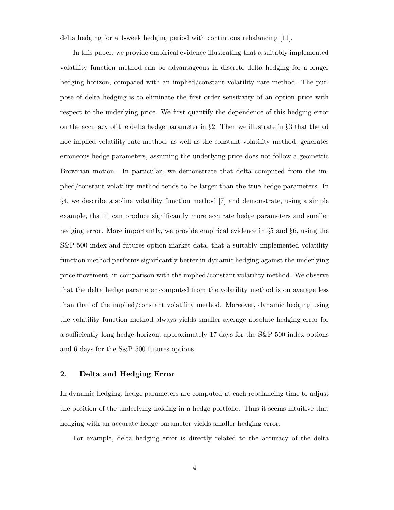delta hedging for a 1-week hedging period with continuous rebalancing [11].

In this paper, we provide empirical evidence illustrating that a suitably implemented volatility function method can be advantageous in discrete delta hedging for a longer hedging horizon, compared with an implied/constant volatility rate method. The purpose of delta hedging is to eliminate the first order sensitivity of an option price with respect to the underlying price. We first quantify the dependence of this hedging error on the accuracy of the delta hedge parameter in §2. Then we illustrate in §3 that the ad hoc implied volatility rate method, as well as the constant volatility method, generates erroneous hedge parameters, assuming the underlying price does not follow a geometric Brownian motion. In particular, we demonstrate that delta computed from the implied/constant volatility method tends to be larger than the true hedge parameters. In §4, we describe a spline volatility function method [7] and demonstrate, using a simple example, that it can produce significantly more accurate hedge parameters and smaller hedging error. More importantly, we provide empirical evidence in §5 and §6, using the S&P 500 index and futures option market data, that a suitably implemented volatility function method performs significantly better in dynamic hedging against the underlying price movement, in comparison with the implied/constant volatility method. We observe that the delta hedge parameter computed from the volatility method is on average less than that of the implied/constant volatility method. Moreover, dynamic hedging using the volatility function method always yields smaller average absolute hedging error for a sufficiently long hedge horizon, approximately 17 days for the S&P 500 index options and 6 days for the S&P 500 futures options.

### **2. Delta and Hedging Error**

In dynamic hedging, hedge parameters are computed at each rebalancing time to adjust the position of the underlying holding in a hedge portfolio. Thus it seems intuitive that hedging with an accurate hedge parameter yields smaller hedging error.

For example, delta hedging error is directly related to the accuracy of the delta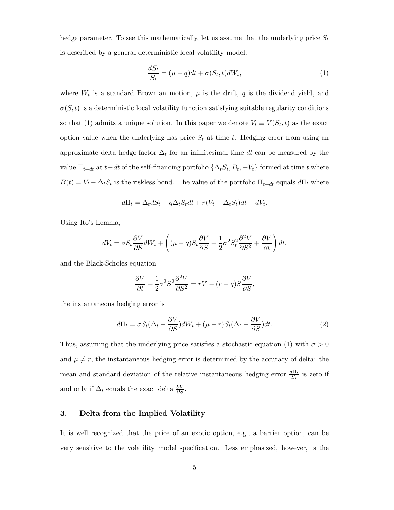hedge parameter. To see this mathematically, let us assume that the underlying price  $S_t$ is described by a general deterministic local volatility model,

$$
\frac{dS_t}{S_t} = (\mu - q)dt + \sigma(S_t, t)dW_t,
$$
\n(1)

where  $W_t$  is a standard Brownian motion,  $\mu$  is the drift, q is the dividend yield, and  $\sigma(S, t)$  is a deterministic local volatility function satisfying suitable regularity conditions so that (1) admits a unique solution. In this paper we denote  $V_t \equiv V(S_t, t)$  as the exact option value when the underlying has price  $S_t$  at time t. Hedging error from using an approximate delta hedge factor  $\Delta_t$  for an infinitesimal time dt can be measured by the value  $\Pi_{t+dt}$  at  $t+dt$  of the self-financing portfolio  $\{\Delta_t S_t, B_t, -V_t\}$  formed at time t where  $B(t) = V_t - \Delta_t S_t$  is the riskless bond. The value of the portfolio  $\Pi_{t+dt}$  equals  $d\Pi_t$  where

$$
d\Pi_t = \Delta_t dS_t + q\Delta_t S_t dt + r(V_t - \Delta_t S_t) dt - dV_t.
$$

Using Ito's Lemma,

$$
dV_t = \sigma S_t \frac{\partial V}{\partial S} dW_t + \left( (\mu - q) S_t \frac{\partial V}{\partial S} + \frac{1}{2} \sigma^2 S_t^2 \frac{\partial^2 V}{\partial S^2} + \frac{\partial V}{\partial t} \right) dt,
$$

and the Black-Scholes equation

$$
\frac{\partial V}{\partial t} + \frac{1}{2}\sigma^2 S^2 \frac{\partial^2 V}{\partial S^2} = rV - (r - q)S \frac{\partial V}{\partial S},
$$

the instantaneous hedging error is

$$
d\Pi_t = \sigma S_t (\Delta_t - \frac{\partial V}{\partial S}) dW_t + (\mu - r) S_t (\Delta_t - \frac{\partial V}{\partial S}) dt.
$$
 (2)

Thus, assuming that the underlying price satisfies a stochastic equation (1) with  $\sigma > 0$ and  $\mu \neq r$ , the instantaneous hedging error is determined by the accuracy of delta: the mean and standard deviation of the relative instantaneous hedging error  $\frac{d\Pi_t}{S_t}$  is zero if and only if  $\Delta_t$  equals the exact delta  $\frac{\partial V}{\partial S}$ .

## **3. Delta from the Implied Volatility**

It is well recognized that the price of an exotic option, e.g., a barrier option, can be very sensitive to the volatility model specification. Less emphasized, however, is the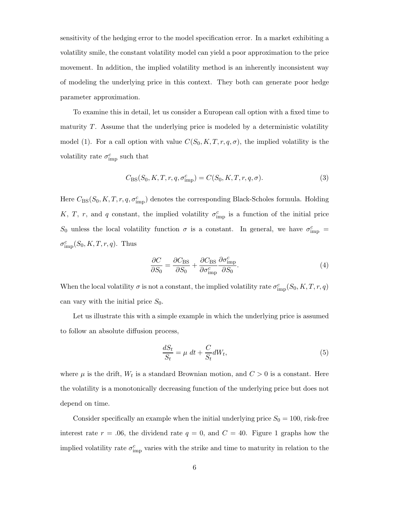sensitivity of the hedging error to the model specification error. In a market exhibiting a volatility smile, the constant volatility model can yield a poor approximation to the price movement. In addition, the implied volatility method is an inherently inconsistent way of modeling the underlying price in this context. They both can generate poor hedge parameter approximation.

To examine this in detail, let us consider a European call option with a fixed time to maturity  $T$ . Assume that the underlying price is modeled by a deterministic volatility model (1). For a call option with value  $C(S_0, K, T, r, q, \sigma)$ , the implied volatility is the volatility rate  $\sigma_{\text{imp}}^c$  such that

$$
C_{\rm BS}(S_0, K, T, r, q, \sigma_{\rm imp}^c) = C(S_0, K, T, r, q, \sigma).
$$
 (3)

Here  $C_{\text{BS}}(S_0, K, T, r, q, \sigma_{\text{imp}}^c)$  denotes the corresponding Black-Scholes formula. Holding K, T, r, and q constant, the implied volatility  $\sigma_{\text{imp}}^c$  is a function of the initial price S<sub>0</sub> unless the local volatility function  $\sigma$  is a constant. In general, we have  $\sigma_{\text{imp}}^c$  =  $\sigma_{\text{imp}}^c(S_0, K, T, r, q)$ . Thus

$$
\frac{\partial C}{\partial S_0} = \frac{\partial C_{\text{BS}}}{\partial S_0} + \frac{\partial C_{\text{BS}}}{\partial \sigma_{\text{imp}}^c} \frac{\partial \sigma_{\text{imp}}^c}{\partial S_0}.
$$
\n(4)

When the local volatility  $\sigma$  is not a constant, the implied volatility rate  $\sigma_{\text{imp}}^c(S_0, K, T, r, q)$ can vary with the initial price  $S_0$ .

Let us illustrate this with a simple example in which the underlying price is assumed to follow an absolute diffusion process,

$$
\frac{dS_t}{S_t} = \mu \, dt + \frac{C}{S_t} dW_t,\tag{5}
$$

where  $\mu$  is the drift,  $W_t$  is a standard Brownian motion, and  $C > 0$  is a constant. Here the volatility is a monotonically decreasing function of the underlying price but does not depend on time.

Consider specifically an example when the initial underlying price  $S_0 = 100$ , risk-free interest rate  $r = .06$ , the dividend rate  $q = 0$ , and  $C = 40$ . Figure 1 graphs how the implied volatility rate  $\sigma_{\text{imp}}^c$  varies with the strike and time to maturity in relation to the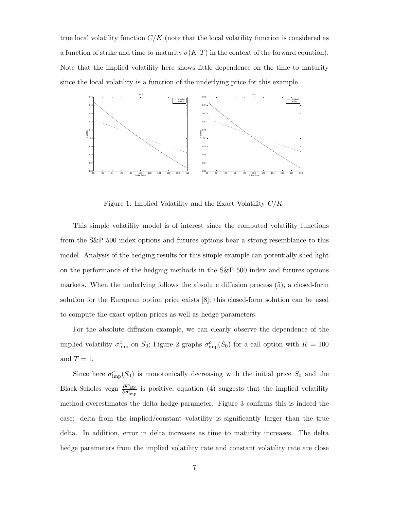true local volatility function  $C/K$  (note that the local volatility function is considered as a function of strike and time to maturity  $\sigma(K,T)$  in the context of the forward equation). Note that the implied volatility here shows little dependence on the time to maturity since the local volatility is a function of the underlying price for this example.



Figure 1: Implied Volatility and the Exact Volatility  $C/K$ 

This simple volatility model is of interest since the computed volatility functions from the S&P 500 index options and futures options bear a strong resemblance to this model. Analysis of the hedging results for this simple example can potentially shed light on the performance of the hedging methods in the S&P 500 index and futures options markets. When the underlying follows the absolute diffusion process (5), a closed-form solution for the European option price exists [8]; this closed-form solution can be used to compute the exact option prices as well as hedge parameters.

For the absolute diffusion example, we can clearly observe the dependence of the implied volatility  $\sigma_{\text{imp}}^c$  on  $S_0$ ; Figure 2 graphs  $\sigma_{\text{imp}}^c(S_0)$  for a call option with  $K = 100$ and  $T = 1$ .

Since here  $\sigma_{\text{imp}}^c(S_0)$  is monotonically decreasing with the initial price  $S_0$  and the Black-Scholes vega  $\frac{\partial C_{BS}}{\partial \sigma_{\text{imp}}^c}$  is positive, equation (4) suggests that the implied volatility method overestimates the delta hedge parameter. Figure 3 confirms this is indeed the case: delta from the implied/constant volatility is significantly larger than the true delta. In addition, error in delta increases as time to maturity increases. The delta hedge parameters from the implied volatility rate and constant volatility rate are close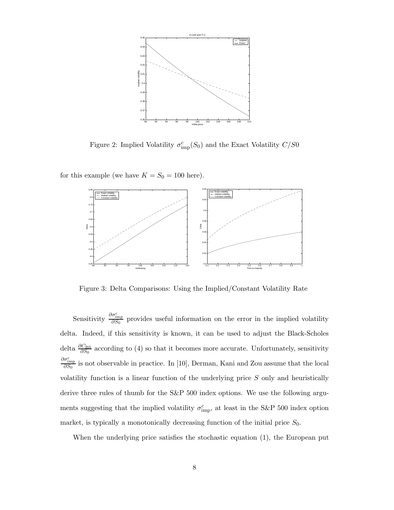

Figure 2: Implied Volatility  $\sigma_{\text{imp}}^c(S_0)$  and the Exact Volatility  $C/S0$ 

for this example (we have  $K = S_0 = 100$  here).



Figure 3: Delta Comparisons: Using the Implied/Constant Volatility Rate

Sensitivity  $\frac{\partial \sigma_{\text{imp}}^c}{\partial S_0}$  provides useful information on the error in the implied volatility delta. Indeed, if this sensitivity is known, it can be used to adjust the Black-Scholes delta  $\frac{\partial C_{\text{BS}}}{\partial S_0}$  according to (4) so that it becomes more accurate. Unfortunately, sensitivity  $\frac{\partial \sigma_{\text{imp}}^c}{\partial S_0}$  is not observable in practice. In [10], Derman, Kani and Zou assume that the local volatility function is a linear function of the underlying price  $S$  only and heuristically derive three rules of thumb for the S&P 500 index options. We use the following arguments suggesting that the implied volatility  $\sigma_{\rm imp}^c$ , at least in the S&P 500 index option market, is typically a monotonically decreasing function of the initial price  $S_0$ .

When the underlying price satisfies the stochastic equation (1), the European put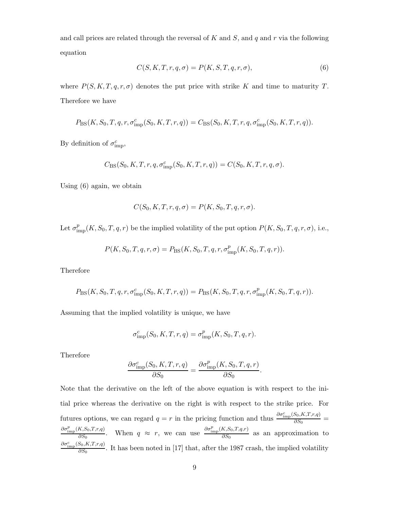and call prices are related through the reversal of  $K$  and  $S$ , and  $q$  and  $r$  via the following equation

$$
C(S, K, T, r, q, \sigma) = P(K, S, T, q, r, \sigma),
$$
\n(6)

where  $P(S, K, T, q, r, \sigma)$  denotes the put price with strike K and time to maturity T. Therefore we have

$$
P_{\rm BS}(K,S_0,T,q,r,\sigma_{\rm imp}^c(S_0,K,T,r,q)) = C_{\rm BS}(S_0,K,T,r,q,\sigma_{\rm imp}^c(S_0,K,T,r,q)).
$$

By definition of  $\sigma_{\text{imp}}^c$ ,

$$
C_{\text{BS}}(S_0, K, T, r, q, \sigma_{\text{imp}}^c(S_0, K, T, r, q)) = C(S_0, K, T, r, q, \sigma).
$$

Using (6) again, we obtain

$$
C(S_0, K, T, r, q, \sigma) = P(K, S_0, T, q, r, \sigma).
$$

Let  $\sigma_{\text{imp}}^p(K, S_0, T, q, r)$  be the implied volatility of the put option  $P(K, S_0, T, q, r, \sigma)$ , i.e.,

$$
P(K, S_0, T, q, r, \sigma) = P_{\text{BS}}(K, S_0, T, q, r, \sigma_{\text{imp}}^p(K, S_0, T, q, r)).
$$

Therefore

$$
P_{\rm BS}(K, S_0, T, q, r, \sigma_{\rm imp}^c(S_0, K, T, r, q)) = P_{\rm BS}(K, S_0, T, q, r, \sigma_{\rm imp}^p(K, S_0, T, q, r)).
$$

Assuming that the implied volatility is unique, we have

$$
\sigma_{\text{imp}}^c(S_0, K, T, r, q) = \sigma_{\text{imp}}^p(K, S_0, T, q, r).
$$

Therefore

$$
\frac{\partial \sigma_{\text{imp}}^c(S_0, K, T, r, q)}{\partial S_0} = \frac{\partial \sigma_{\text{imp}}^p(K, S_0, T, q, r)}{\partial S_0}.
$$

Note that the derivative on the left of the above equation is with respect to the initial price whereas the derivative on the right is with respect to the strike price. For futures options, we can regard  $q = r$  in the pricing function and thus  $\frac{\partial \sigma_{\rm imp}^c(S_0, K, T, r, q)}{\partial S_0} =$  $\frac{\partial \sigma_{\text{imp}}^p(K,S_0,T,r,q)}{\partial S_0}$ . When  $q \approx r$ , we can use  $\frac{\partial \sigma_{\text{imp}}^p(K,S_0,T,q,r)}{\partial S_0}$  as an approximation to  $\frac{\partial \sigma_{\text{imp}}^c(S_0, K, T, r, q)}{\partial S_0}$ . It has been noted in [17] that, after the 1987 crash, the implied volatility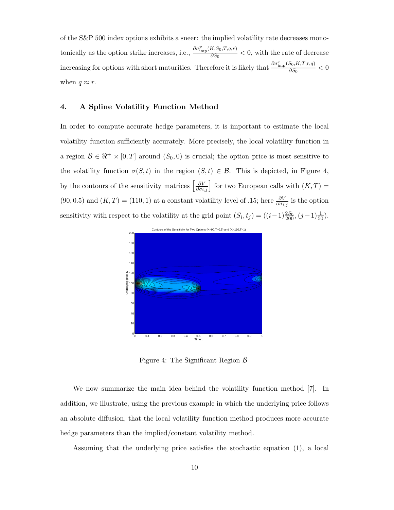of the S&P 500 index options exhibits a sneer: the implied volatility rate decreases monotonically as the option strike increases, i.e.,  $\frac{\partial \sigma_{\text{imp}}^p(K,S_0,T,q,r)}{\partial S_0} < 0$ , with the rate of decrease increasing for options with short maturities. Therefore it is likely that  $\frac{\partial \sigma_{\text{imp}}^c(S_0, K, T, r, q)}{\partial S_0} < 0$ when  $q \approx r$ .

#### **4. A Spline Volatility Function Method**

In order to compute accurate hedge parameters, it is important to estimate the local volatility function sufficiently accurately. More precisely, the local volatility function in a region  $\mathcal{B} \in \mathbb{R}^+ \times [0,T]$  around  $(S_0, 0)$  is crucial; the option price is most sensitive to the volatility function  $\sigma(S, t)$  in the region  $(S, t) \in \mathcal{B}$ . This is depicted, in Figure 4, by the contours of the sensitivity matrices  $\left[\frac{\partial V}{\partial \sigma_{i,j}}\right]$  for two European calls with  $(K, T)$  = (90, 0.5) and  $(K, T) = (110, 1)$  at a constant volatility level of .15; here  $\frac{\partial V}{\partial \sigma_{i,j}}$  is the option sensitivity with respect to the volatility at the grid point  $(S_i, t_j) = ((i-1)\frac{2S_0}{200}, (j-1)\frac{1}{50})$ .



Figure 4: The Significant Region  $\beta$ 

We now summarize the main idea behind the volatility function method [7]. In addition, we illustrate, using the previous example in which the underlying price follows an absolute diffusion, that the local volatility function method produces more accurate hedge parameters than the implied/constant volatility method.

Assuming that the underlying price satisfies the stochastic equation (1), a local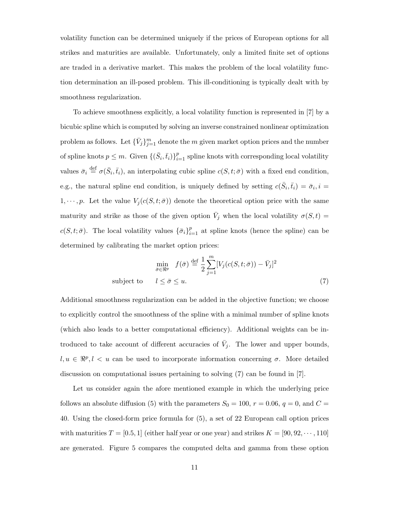volatility function can be determined uniquely if the prices of European options for all strikes and maturities are available. Unfortunately, only a limited finite set of options are traded in a derivative market. This makes the problem of the local volatility function determination an ill-posed problem. This ill-conditioning is typically dealt with by smoothness regularization.

To achieve smoothness explicitly, a local volatility function is represented in [7] by a bicubic spline which is computed by solving an inverse constrained nonlinear optimization problem as follows. Let  $\{\bar{V}_j\}_{i=1}^m$  denote the m given market option prices and the number of spline knots  $p \leq m$ . Given  $\{(\bar{S}_i, \bar{t}_i)\}_{i=1}^p$  spline knots with corresponding local volatility values  $\bar{\sigma}_i \stackrel{\text{def}}{=} \sigma(\bar{S}_i, \bar{t}_i)$ , an interpolating cubic spline  $c(S, t; \bar{\sigma})$  with a fixed end condition, e.g., the natural spline end condition, is uniquely defined by setting  $c(\bar{S}_i, \bar{t}_i) = \bar{\sigma}_i, i =$  $1, \dots, p$ . Let the value  $V_j(c(S, t; \bar{\sigma}))$  denote the theoretical option price with the same maturity and strike as those of the given option  $\bar{V}_j$  when the local volatility  $\sigma(S, t)$  =  $c(S, t; \bar{\sigma})$ . The local volatility values  $\{\bar{\sigma}_i\}_{i=1}^p$  at spline knots (hence the spline) can be determined by calibrating the market option prices:

$$
\min_{\bar{\sigma} \in \Re^p} f(\bar{\sigma}) \stackrel{\text{def}}{=} \frac{1}{2} \sum_{j=1}^m [V_j(c(S, t; \bar{\sigma})) - \bar{V}_j]^2
$$
\nsubject to 
$$
l \leq \bar{\sigma} \leq u.
$$
\n(7)

Additional smoothness regularization can be added in the objective function; we choose to explicitly control the smoothness of the spline with a minimal number of spline knots (which also leads to a better computational efficiency). Additional weights can be introduced to take account of different accuracies of  $\bar{V}_j$ . The lower and upper bounds,  $l, u \in \mathbb{R}^p, l < u$  can be used to incorporate information concerning  $\sigma$ . More detailed discussion on computational issues pertaining to solving (7) can be found in [7].

Let us consider again the afore mentioned example in which the underlying price follows an absolute diffusion (5) with the parameters  $S_0 = 100$ ,  $r = 0.06$ ,  $q = 0$ , and  $C =$ 40. Using the closed-form price formula for (5), a set of 22 European call option prices with maturities  $T = [0.5, 1]$  (either half year or one year) and strikes  $K = [90, 92, \dots, 110]$ are generated. Figure 5 compares the computed delta and gamma from these option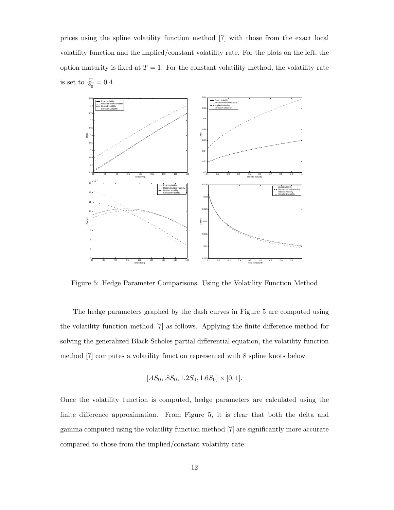prices using the spline volatility function method [7] with those from the exact local volatility function and the implied/constant volatility rate. For the plots on the left, the option maturity is fixed at  $T = 1$ . For the constant volatility method, the volatility rate is set to  $\frac{C}{S_0} = 0.4$ .



Figure 5: Hedge Parameter Comparisons: Using the Volatility Function Method

The hedge parameters graphed by the dash curves in Figure 5 are computed using the volatility function method [7] as follows. Applying the finite difference method for solving the generalized Black-Scholes partial differential equation, the volatility function method [7] computes a volatility function represented with 8 spline knots below

$$
[.4S_0, .8S_0, 1.2S_0, 1.6S_0] \times [0, 1].
$$

Once the volatility function is computed, hedge parameters are calculated using the finite difference approximation. From Figure 5, it is clear that both the delta and gamma computed using the volatility function method [7] are significantly more accurate compared to those from the implied/constant volatility rate.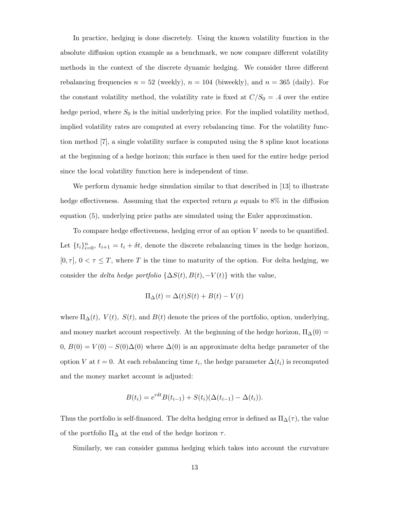In practice, hedging is done discretely. Using the known volatility function in the absolute diffusion option example as a benchmark, we now compare different volatility methods in the context of the discrete dynamic hedging. We consider three different rebalancing frequencies  $n = 52$  (weekly),  $n = 104$  (biweekly), and  $n = 365$  (daily). For the constant volatility method, the volatility rate is fixed at  $C/S_0 = .4$  over the entire hedge period, where  $S_0$  is the initial underlying price. For the implied volatility method, implied volatility rates are computed at every rebalancing time. For the volatility function method [7], a single volatility surface is computed using the 8 spline knot locations at the beginning of a hedge horizon; this surface is then used for the entire hedge period since the local volatility function here is independent of time.

We perform dynamic hedge simulation similar to that described in [13] to illustrate hedge effectiveness. Assuming that the expected return  $\mu$  equals to 8% in the diffusion equation (5), underlying price paths are simulated using the Euler approximation.

To compare hedge effectiveness, hedging error of an option V needs to be quantified. Let  $\{t_i\}_{i=0}^n$ ,  $t_{i+1} = t_i + \delta t$ , denote the discrete rebalancing times in the hedge horizon,  $[0, \tau]$ ,  $0 < \tau \leq T$ , where T is the time to maturity of the option. For delta hedging, we consider the *delta hedge portfolio*  $\{\Delta S(t), B(t), -V(t)\}$  with the value,

$$
\Pi_{\Delta}(t) = \Delta(t)S(t) + B(t) - V(t)
$$

where  $\Pi_{\Delta}(t)$ ,  $V(t)$ ,  $S(t)$ , and  $B(t)$  denote the prices of the portfolio, option, underlying, and money market account respectively. At the beginning of the hedge horizon,  $\Pi_{\Delta}(0)$  =  $0, B(0) = V(0) - S(0)\Delta(0)$  where  $\Delta(0)$  is an approximate delta hedge parameter of the option V at  $t = 0$ . At each rebalancing time  $t_i$ , the hedge parameter  $\Delta(t_i)$  is recomputed and the money market account is adjusted:

$$
B(t_i) = e^{r\delta t} B(t_{i-1}) + S(t_i) (\Delta(t_{i-1}) - \Delta(t_i)).
$$

Thus the portfolio is self-financed. The delta hedging error is defined as  $\Pi_{\Delta}(\tau)$ , the value of the portfolio  $\Pi_{\Delta}$  at the end of the hedge horizon  $\tau$ .

Similarly, we can consider gamma hedging which takes into account the curvature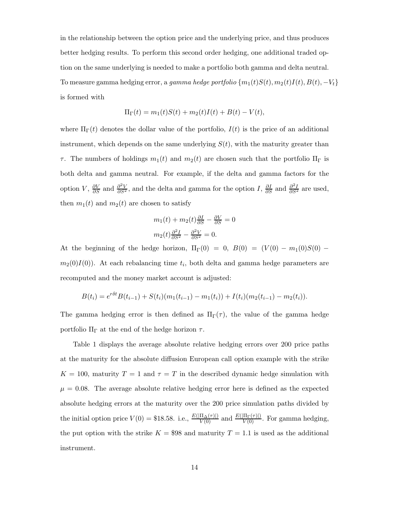in the relationship between the option price and the underlying price, and thus produces better hedging results. To perform this second order hedging, one additional traded option on the same underlying is needed to make a portfolio both gamma and delta neutral. To measure gamma hedging error, a *gamma hedge portfolio*  $\{m_1(t)S(t), m_2(t)I(t), B(t), -V_t\}$ is formed with

$$
\Pi_{\Gamma}(t) = m_1(t)S(t) + m_2(t)I(t) + B(t) - V(t),
$$

where  $\Pi_{\Gamma}(t)$  denotes the dollar value of the portfolio,  $I(t)$  is the price of an additional instrument, which depends on the same underlying  $S(t)$ , with the maturity greater than τ. The numbers of holdings  $m_1(t)$  and  $m_2(t)$  are chosen such that the portfolio  $\Pi_{\Gamma}$  is both delta and gamma neutral. For example, if the delta and gamma factors for the option V,  $\frac{\partial V}{\partial S}$  and  $\frac{\partial^2 V}{\partial S^2}$ , and the delta and gamma for the option I,  $\frac{\partial I}{\partial S}$  and  $\frac{\partial^2 I}{\partial S^2}$  are used, then  $m_1(t)$  and  $m_2(t)$  are chosen to satisfy

$$
m_1(t) + m_2(t)\frac{\partial I}{\partial S} - \frac{\partial V}{\partial S} = 0
$$

$$
m_2(t)\frac{\partial^2 I}{\partial S^2} - \frac{\partial^2 V}{\partial S^2} = 0.
$$

At the beginning of the hedge horizon,  $\Pi_{\Gamma}(0) = 0$ ,  $B(0) = (V(0) - m_1(0)S(0)$  $m_2(0)I(0)$ . At each rebalancing time  $t_i$ , both delta and gamma hedge parameters are recomputed and the money market account is adjusted:

$$
B(t_i) = e^{r\delta t}B(t_{i-1}) + S(t_i)(m_1(t_{i-1}) - m_1(t_i)) + I(t_i)(m_2(t_{i-1}) - m_2(t_i)).
$$

The gamma hedging error is then defined as  $\Pi_{\Gamma}(\tau)$ , the value of the gamma hedge portfolio  $\Pi_{\Gamma}$  at the end of the hedge horizon  $\tau$ .

Table 1 displays the average absolute relative hedging errors over 200 price paths at the maturity for the absolute diffusion European call option example with the strike  $K = 100$ , maturity  $T = 1$  and  $\tau = T$  in the described dynamic hedge simulation with  $\mu = 0.08$ . The average absolute relative hedging error here is defined as the expected absolute hedging errors at the maturity over the 200 price simulation paths divided by the initial option price  $V(0) = $18.58$ . i.e.,  $\frac{E(|\Pi_{\Delta}(\tau)|)}{V(0)}$  and  $\frac{E(|\Pi_{\Gamma}(\tau)|)}{V(0)}$ . For gamma hedging, the put option with the strike  $K = $98$  and maturity  $T = 1.1$  is used as the additional instrument.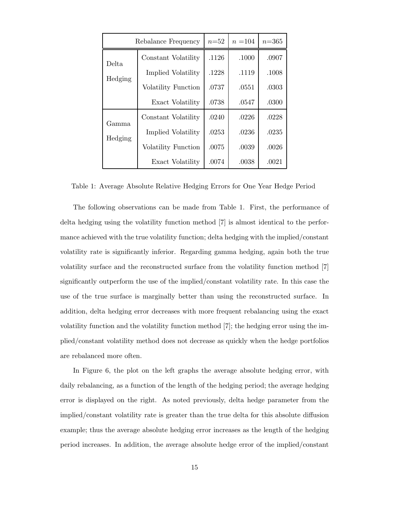| Rebalance Frequency |                           | $n = 52$ | $n = 104$ | $n = 365$ |
|---------------------|---------------------------|----------|-----------|-----------|
| Delta<br>Hedging    | Constant Volatility       | .1126    | .1000     | .0907     |
|                     | Implied Volatility        | .1228    | .1119     | .1008     |
|                     | Volatility Function       | .0737    | .0551     | .0303     |
|                     | Exact Volatility          | .0738    | .0547     | .0300     |
| Gamma<br>Hedging    | Constant Volatility       | .0240    | .0226     | .0228     |
|                     | <b>Implied Volatility</b> | .0253    | .0236     | .0235     |
|                     | Volatility Function       | .0075    | .0039     | .0026     |
|                     | Exact Volatility          | .0074    | .0038     | .0021     |

Table 1: Average Absolute Relative Hedging Errors for One Year Hedge Period

The following observations can be made from Table 1. First, the performance of delta hedging using the volatility function method [7] is almost identical to the performance achieved with the true volatility function; delta hedging with the implied/constant volatility rate is significantly inferior. Regarding gamma hedging, again both the true volatility surface and the reconstructed surface from the volatility function method [7] significantly outperform the use of the implied/constant volatility rate. In this case the use of the true surface is marginally better than using the reconstructed surface. In addition, delta hedging error decreases with more frequent rebalancing using the exact volatility function and the volatility function method [7]; the hedging error using the implied/constant volatility method does not decrease as quickly when the hedge portfolios are rebalanced more often.

In Figure 6, the plot on the left graphs the average absolute hedging error, with daily rebalancing, as a function of the length of the hedging period; the average hedging error is displayed on the right. As noted previously, delta hedge parameter from the implied/constant volatility rate is greater than the true delta for this absolute diffusion example; thus the average absolute hedging error increases as the length of the hedging period increases. In addition, the average absolute hedge error of the implied/constant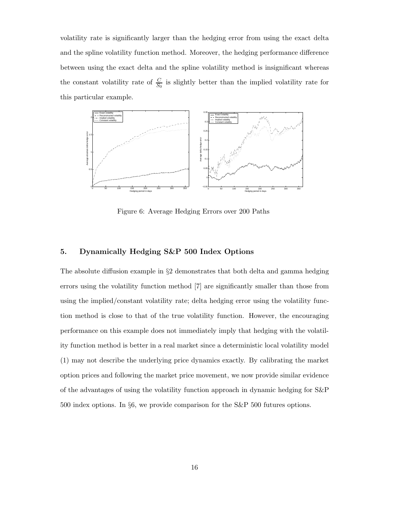volatility rate is significantly larger than the hedging error from using the exact delta and the spline volatility function method. Moreover, the hedging performance difference between using the exact delta and the spline volatility method is insignificant whereas the constant volatility rate of  $\frac{C}{S_0}$  is slightly better than the implied volatility rate for this particular example.



Figure 6: Average Hedging Errors over 200 Paths

## **5. Dynamically Hedging S&P 500 Index Options**

The absolute diffusion example in §2 demonstrates that both delta and gamma hedging errors using the volatility function method [7] are significantly smaller than those from using the implied/constant volatility rate; delta hedging error using the volatility function method is close to that of the true volatility function. However, the encouraging performance on this example does not immediately imply that hedging with the volatility function method is better in a real market since a deterministic local volatility model (1) may not describe the underlying price dynamics exactly. By calibrating the market option prices and following the market price movement, we now provide similar evidence of the advantages of using the volatility function approach in dynamic hedging for S&P 500 index options. In §6, we provide comparison for the S&P 500 futures options.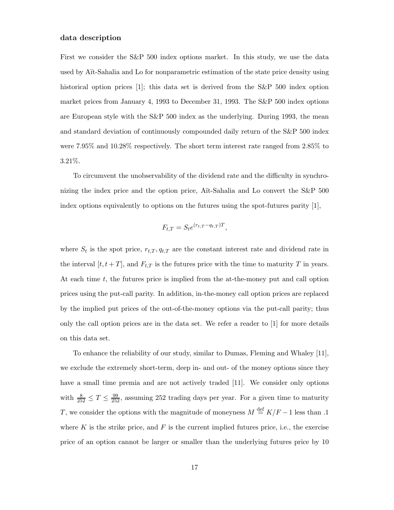#### **data description**

First we consider the S&P 500 index options market. In this study, we use the data used by A¨ıt-Sahalia and Lo for nonparametric estimation of the state price density using historical option prices [1]; this data set is derived from the S&P 500 index option market prices from January 4, 1993 to December 31, 1993. The S&P 500 index options are European style with the S&P 500 index as the underlying. During 1993, the mean and standard deviation of continuously compounded daily return of the S&P 500 index were 7.95% and 10.28% respectively. The short term interest rate ranged from 2.85% to 3.21%.

To circumvent the unobservability of the dividend rate and the difficulty in synchronizing the index price and the option price, Aït-Sahalia and Lo convert the S&P 500 index options equivalently to options on the futures using the spot-futures parity [1],

$$
F_{t,T} = S_t e^{(r_{t,T} - q_{t,T})T},
$$

where  $S_t$  is the spot price,  $r_{t,T}, q_{t,T}$  are the constant interest rate and dividend rate in the interval  $[t, t + T]$ , and  $F_{t,T}$  is the futures price with the time to maturity T in years. At each time  $t$ , the futures price is implied from the at-the-money put and call option prices using the put-call parity. In addition, in-the-money call option prices are replaced by the implied put prices of the out-of-the-money options via the put-call parity; thus only the call option prices are in the data set. We refer a reader to [1] for more details on this data set.

To enhance the reliability of our study, similar to Dumas, Fleming and Whaley [11], we exclude the extremely short-term, deep in- and out- of the money options since they have a small time premia and are not actively traded [11]. We consider only options with  $\frac{8}{252} \leq T \leq \frac{99}{252}$ , assuming 252 trading days per year. For a given time to maturity T, we consider the options with the magnitude of moneyness  $M \stackrel{\text{def}}{=} K/F - 1$  less than .1 where K is the strike price, and F is the current implied futures price, i.e., the exercise price of an option cannot be larger or smaller than the underlying futures price by 10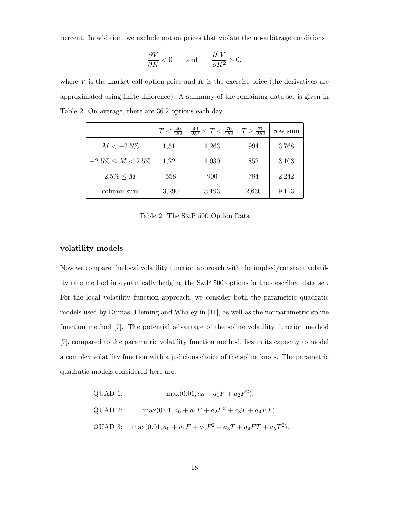percent. In addition, we exclude option prices that violate the no-arbitrage conditions

$$
\frac{\partial V}{\partial K}<0\qquad\text{and}\qquad\frac{\partial^2 V}{\partial K^2}>0,
$$

where  $V$  is the market call option price and  $K$  is the exercise price (the derivatives are approximated using finite difference). A summary of the remaining data set is given in Table 2. On average, there are 36.2 options each day.

|                         | $T < \frac{40}{252}$ | $\frac{40}{252} \leq T < \frac{70}{252}$ $T \geq \frac{70}{252}$ |       | row sum |
|-------------------------|----------------------|------------------------------------------------------------------|-------|---------|
| $M < -2.5\%$            | 1,511                | 1,263                                                            | 994   | 3,768   |
| $-2.5\% \leq M < 2.5\%$ | 1,221                | 1,030                                                            | 852   | 3,103   |
| $2.5\% \le M$           | 558                  | 900                                                              | 784   | 2,242   |
| column sum              | 3,290                | 3,193                                                            | 2,630 | 9,113   |

Table 2: The S&P 500 Option Data

## **volatility models**

Now we compare the local volatility function approach with the implied/constant volatility rate method in dynamically hedging the S&P 500 options in the described data set. For the local volatility function approach, we consider both the parametric quadratic models used by Dumas, Fleming and Whaley in [11], as well as the nonparametric spline function method [7]. The potential advantage of the spline volatility function method [7], compared to the parametric volatility function method, lies in its capacity to model a complex volatility function with a judicious choice of the spline knots. The parametric quadratic models considered here are:

QUAD 1:

\n
$$
\max(0.01, a_0 + a_1F + a_2F^2),
$$
\nQUAD 2:

\n
$$
\max(0.01, a_0 + a_1F + a_2F^2 + a_3T + a_4FT),
$$
\nQUAD 3:

\n
$$
\max(0.01, a_0 + a_1F + a_2F^2 + a_3T + a_4FT + a_5T^2).
$$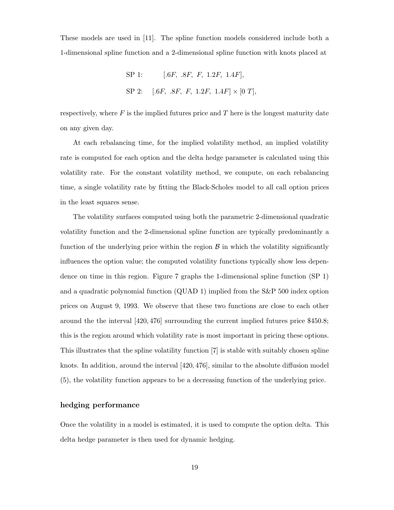These models are used in [11]. The spline function models considered include both a 1-dimensional spline function and a 2-dimensional spline function with knots placed at

SP 1: 
$$
[.6F, .8F, F, 1.2F, 1.4F],
$$
  
SP 2:  $[.6F, .8F, F, 1.2F, 1.4F] \times [0 T],$ 

respectively, where  $F$  is the implied futures price and  $T$  here is the longest maturity date on any given day.

At each rebalancing time, for the implied volatility method, an implied volatility rate is computed for each option and the delta hedge parameter is calculated using this volatility rate. For the constant volatility method, we compute, on each rebalancing time, a single volatility rate by fitting the Black-Scholes model to all call option prices in the least squares sense.

The volatility surfaces computed using both the parametric 2-dimensional quadratic volatility function and the 2-dimensional spline function are typically predominantly a function of the underlying price within the region  $\beta$  in which the volatility significantly influences the option value; the computed volatility functions typically show less dependence on time in this region. Figure 7 graphs the 1-dimensional spline function (SP 1) and a quadratic polynomial function (QUAD 1) implied from the S&P 500 index option prices on August 9, 1993. We observe that these two functions are close to each other around the the interval [420, 476] surrounding the current implied futures price \$450.8; this is the region around which volatility rate is most important in pricing these options. This illustrates that the spline volatility function [7] is stable with suitably chosen spline knots. In addition, around the interval [420, 476], similar to the absolute diffusion model (5), the volatility function appears to be a decreasing function of the underlying price.

### **hedging performance**

Once the volatility in a model is estimated, it is used to compute the option delta. This delta hedge parameter is then used for dynamic hedging.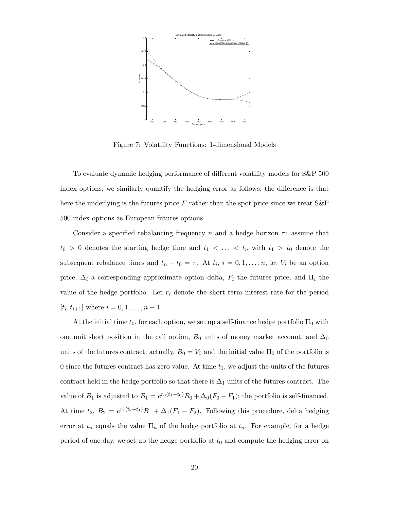

Figure 7: Volatility Functions: 1-dimensional Models

To evaluate dynamic hedging performance of different volatility models for S&P 500 index options, we similarly quantify the hedging error as follows; the difference is that here the underlying is the futures price  $F$  rather than the spot price since we treat  $S\&P$ 500 index options as European futures options.

Consider a specified rebalancing frequency n and a hedge horizon  $\tau$ : assume that  $t_0 > 0$  denotes the starting hedge time and  $t_1 < \ldots < t_n$  with  $t_1 > t_0$  denote the subsequent rebalance times and  $t_n - t_0 = \tau$ . At  $t_i$ ,  $i = 0, 1, ..., n$ , let  $V_i$  be an option price,  $\Delta_i$  a corresponding approximate option delta,  $F_i$  the futures price, and  $\Pi_i$  the value of the hedge portfolio. Let  $r_i$  denote the short term interest rate for the period  $[t_i, t_{i+1}]$  where  $i = 0, 1, ..., n - 1$ .

At the initial time  $t_0$ , for each option, we set up a self-finance hedge portfolio  $\Pi_0$  with one unit short position in the call option,  $B_0$  units of money market account, and  $\Delta_0$ units of the futures contract; actually,  $B_0 = V_0$  and the initial value  $\Pi_0$  of the portfolio is 0 since the futures contract has zero value. At time  $t_1$ , we adjust the units of the futures contract held in the hedge portfolio so that there is  $\Delta_1$  units of the futures contract. The value of  $B_1$  is adjusted to  $B_1 = e^{r_0(t_1-t_0)}B_0 + \Delta_0(F_0 - F_1)$ ; the portfolio is self-financed. At time  $t_2$ ,  $B_2 = e^{r_1(t_2-t_1)}B_1 + \Delta_1(F_1 - F_2)$ . Following this procedure, delta hedging error at  $t_n$  equals the value  $\Pi_n$  of the hedge portfolio at  $t_n$ . For example, for a hedge period of one day, we set up the hedge portfolio at  $t_0$  and compute the hedging error on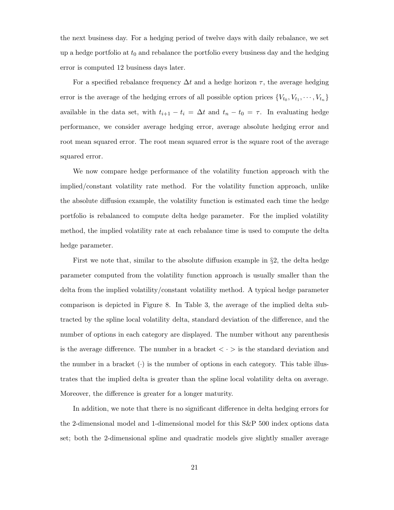the next business day. For a hedging period of twelve days with daily rebalance, we set up a hedge portfolio at  $t_0$  and rebalance the portfolio every business day and the hedging error is computed 12 business days later.

For a specified rebalance frequency  $\Delta t$  and a hedge horizon  $\tau$ , the average hedging error is the average of the hedging errors of all possible option prices  ${V_{t_0}, V_{t_1}, \cdots, V_{t_n}}$ available in the data set, with  $t_{i+1} - t_i = \Delta t$  and  $t_n - t_0 = \tau$ . In evaluating hedge performance, we consider average hedging error, average absolute hedging error and root mean squared error. The root mean squared error is the square root of the average squared error.

We now compare hedge performance of the volatility function approach with the implied/constant volatility rate method. For the volatility function approach, unlike the absolute diffusion example, the volatility function is estimated each time the hedge portfolio is rebalanced to compute delta hedge parameter. For the implied volatility method, the implied volatility rate at each rebalance time is used to compute the delta hedge parameter.

First we note that, similar to the absolute diffusion example in  $\S$ 2, the delta hedge parameter computed from the volatility function approach is usually smaller than the delta from the implied volatility/constant volatility method. A typical hedge parameter comparison is depicted in Figure 8. In Table 3, the average of the implied delta subtracted by the spline local volatility delta, standard deviation of the difference, and the number of options in each category are displayed. The number without any parenthesis is the average difference. The number in a bracket  $\langle \cdot \rangle$  is the standard deviation and the number in a bracket  $(\cdot)$  is the number of options in each category. This table illustrates that the implied delta is greater than the spline local volatility delta on average. Moreover, the difference is greater for a longer maturity.

In addition, we note that there is no significant difference in delta hedging errors for the 2-dimensional model and 1-dimensional model for this S&P 500 index options data set; both the 2-dimensional spline and quadratic models give slightly smaller average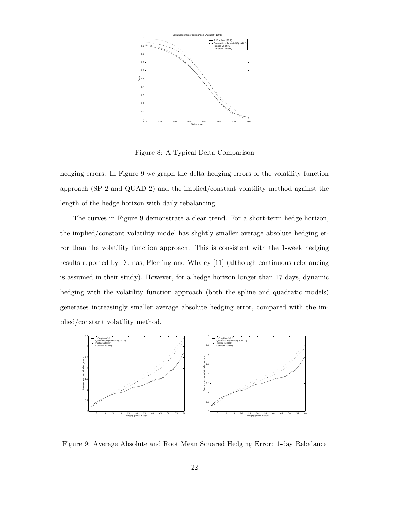

Figure 8: A Typical Delta Comparison

hedging errors. In Figure 9 we graph the delta hedging errors of the volatility function approach (SP 2 and QUAD 2) and the implied/constant volatility method against the length of the hedge horizon with daily rebalancing.

The curves in Figure 9 demonstrate a clear trend. For a short-term hedge horizon, the implied/constant volatility model has slightly smaller average absolute hedging error than the volatility function approach. This is consistent with the 1-week hedging results reported by Dumas, Fleming and Whaley [11] (although continuous rebalancing is assumed in their study). However, for a hedge horizon longer than 17 days, dynamic hedging with the volatility function approach (both the spline and quadratic models) generates increasingly smaller average absolute hedging error, compared with the implied/constant volatility method.



Figure 9: Average Absolute and Root Mean Squared Hedging Error: 1-day Rebalance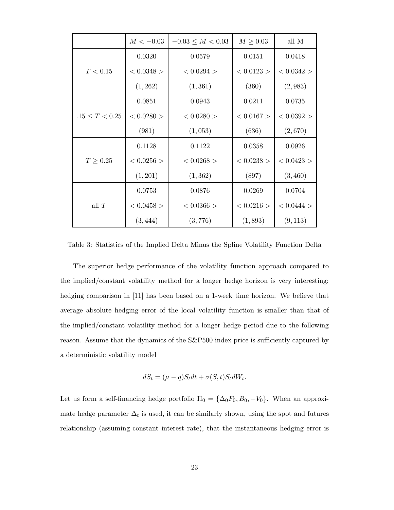|                     | $M < -0.03$  | $-0.03 \leq M < 0.03$ | $M \geq 0.03$ | all M        |
|---------------------|--------------|-----------------------|---------------|--------------|
| T < 0.15            | 0.0320       | 0.0579                | 0.0151        | 0.0418       |
|                     | $< 0.0348$ > | < 0.0294 >            | $<0.0123>$    | < 0.0342 >   |
|                     | (1, 262)     | (1, 361)              | (360)         | (2,983)      |
| $.15 \leq T < 0.25$ | 0.0851       | 0.0943                | 0.0211        | 0.0735       |
|                     | $< 0.0280$ > | < 0.0280 >            | < 0.0167 >    | < 0.0392 >   |
|                     | (981)        | (1,053)               | (636)         | (2,670)      |
| $T \geq 0.25$       | 0.1128       | 0.1122                | 0.0358        | 0.0926       |
|                     | $< 0.0256$ > | $< 0.0268$ >          | $< 0.0238$ >  | $< 0.0423$ > |
|                     | (1, 201)     | (1, 362)              | (897)         | (3, 460)     |
| all $T$             | 0.0753       | 0.0876                | 0.0269        | 0.0704       |
|                     | $< 0.0458$ > | $< 0.0366$ >          | < 0.0216 >    | < 0.0444 >   |
|                     | (3, 444)     | (3, 776)              | (1, 893)      | (9, 113)     |

Table 3: Statistics of the Implied Delta Minus the Spline Volatility Function Delta

The superior hedge performance of the volatility function approach compared to the implied/constant volatility method for a longer hedge horizon is very interesting; hedging comparison in [11] has been based on a 1-week time horizon. We believe that average absolute hedging error of the local volatility function is smaller than that of the implied/constant volatility method for a longer hedge period due to the following reason. Assume that the dynamics of the S&P500 index price is sufficiently captured by a deterministic volatility model

$$
dS_t = (\mu - q)S_t dt + \sigma(S, t)S_t dW_t.
$$

Let us form a self-financing hedge portfolio  $\Pi_0 = {\Delta_0 F_0, B_0, -V_0}$ . When an approximate hedge parameter  $\Delta_t$  is used, it can be similarly shown, using the spot and futures relationship (assuming constant interest rate), that the instantaneous hedging error is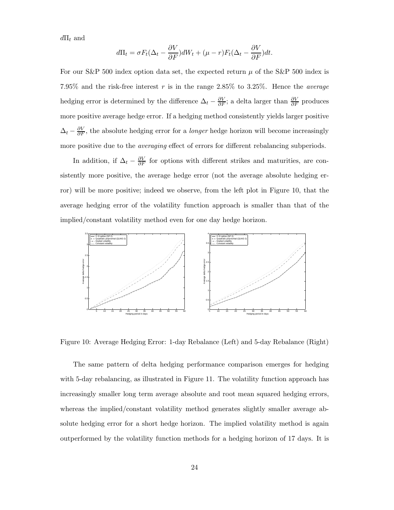$d\Pi_t$  and

$$
d\Pi_t = \sigma F_t(\Delta_t - \frac{\partial V}{\partial F})dW_t + (\mu - r)F_t(\Delta_t - \frac{\partial V}{\partial F})dt.
$$

For our S&P 500 index option data set, the expected return  $\mu$  of the S&P 500 index is 7.95% and the risk-free interest r is in the range 2.85% to 3.25%. Hence the *average* hedging error is determined by the difference  $\Delta_t - \frac{\partial V}{\partial F}$ ; a delta larger than  $\frac{\partial V}{\partial F}$  produces more positive average hedge error. If a hedging method consistently yields larger positive  $\Delta_t - \frac{\partial V}{\partial F}$ , the absolute hedging error for a *longer* hedge horizon will become increasingly more positive due to the *averaging* effect of errors for different rebalancing subperiods.

In addition, if  $\Delta_t - \frac{\partial V}{\partial F}$  for options with different strikes and maturities, are consistently more positive, the average hedge error (not the average absolute hedging error) will be more positive; indeed we observe, from the left plot in Figure 10, that the average hedging error of the volatility function approach is smaller than that of the implied/constant volatility method even for one day hedge horizon.



Figure 10: Average Hedging Error: 1-day Rebalance (Left) and 5-day Rebalance (Right)

The same pattern of delta hedging performance comparison emerges for hedging with 5-day rebalancing, as illustrated in Figure 11. The volatility function approach has increasingly smaller long term average absolute and root mean squared hedging errors, whereas the implied/constant volatility method generates slightly smaller average absolute hedging error for a short hedge horizon. The implied volatility method is again outperformed by the volatility function methods for a hedging horizon of 17 days. It is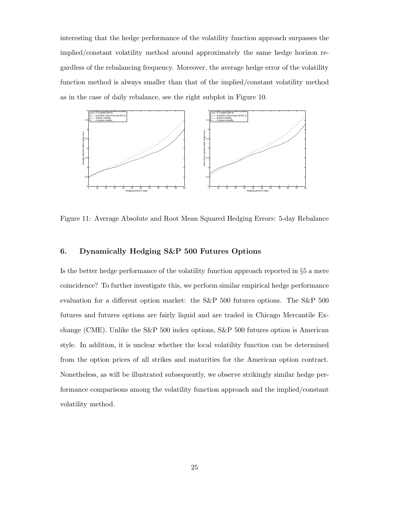interesting that the hedge performance of the volatility function approach surpasses the implied/constant volatility method around approximately the same hedge horizon regardless of the rebalancing frequency. Moreover, the average hedge error of the volatility function method is always smaller than that of the implied/constant volatility method as in the case of daily rebalance, see the right subplot in Figure 10.



Figure 11: Average Absolute and Root Mean Squared Hedging Errors: 5-day Rebalance

## **6. Dynamically Hedging S&P 500 Futures Options**

Is the better hedge performance of the volatility function approach reported in  $\S 5$  a mere coincidence? To further investigate this, we perform similar empirical hedge performance evaluation for a different option market: the S&P 500 futures options. The S&P 500 futures and futures options are fairly liquid and are traded in Chicago Mercantile Exchange (CME). Unlike the S&P 500 index options, S&P 500 futures option is American style. In addition, it is unclear whether the local volatility function can be determined from the option prices of all strikes and maturities for the American option contract. Nonetheless, as will be illustrated subsequently, we observe strikingly similar hedge performance comparisons among the volatility function approach and the implied/constant volatility method.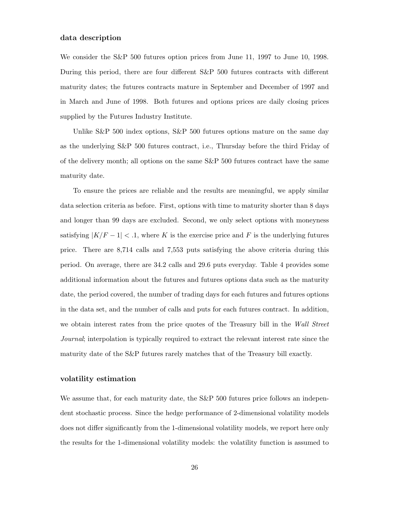#### **data description**

We consider the S&P 500 futures option prices from June 11, 1997 to June 10, 1998. During this period, there are four different S&P 500 futures contracts with different maturity dates; the futures contracts mature in September and December of 1997 and in March and June of 1998. Both futures and options prices are daily closing prices supplied by the Futures Industry Institute.

Unlike S&P 500 index options, S&P 500 futures options mature on the same day as the underlying S&P 500 futures contract, i.e., Thursday before the third Friday of of the delivery month; all options on the same S&P 500 futures contract have the same maturity date.

To ensure the prices are reliable and the results are meaningful, we apply similar data selection criteria as before. First, options with time to maturity shorter than 8 days and longer than 99 days are excluded. Second, we only select options with moneyness satisfying  $|K/F - 1| < .1$ , where K is the exercise price and F is the underlying futures price. There are 8,714 calls and 7,553 puts satisfying the above criteria during this period. On average, there are 34.2 calls and 29.6 puts everyday. Table 4 provides some additional information about the futures and futures options data such as the maturity date, the period covered, the number of trading days for each futures and futures options in the data set, and the number of calls and puts for each futures contract. In addition, we obtain interest rates from the price quotes of the Treasury bill in the *Wall Street Journal*; interpolation is typically required to extract the relevant interest rate since the maturity date of the S&P futures rarely matches that of the Treasury bill exactly.

#### **volatility estimation**

We assume that, for each maturity date, the S&P 500 futures price follows an independent stochastic process. Since the hedge performance of 2-dimensional volatility models does not differ significantly from the 1-dimensional volatility models, we report here only the results for the 1-dimensional volatility models: the volatility function is assumed to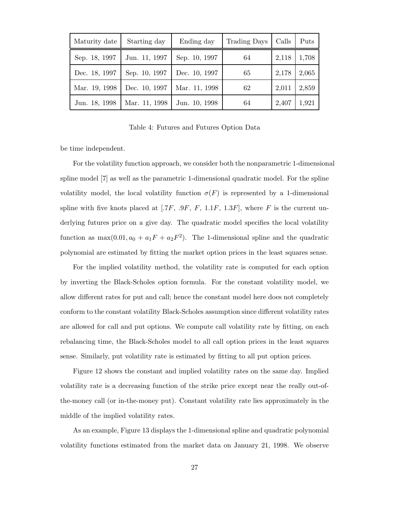| Maturity date | Starting day  | Ending day    | Trading Days | Calls | Puts  |
|---------------|---------------|---------------|--------------|-------|-------|
| Sep. 18, 1997 | Jun. 11, 1997 | Sep. 10, 1997 | 64           | 2,118 | 1,708 |
| Dec. 18, 1997 | Sep. 10, 1997 | Dec. 10, 1997 | 65           | 2,178 | 2,065 |
| Mar. 19, 1998 | Dec. 10, 1997 | Mar. 11, 1998 | 62           | 2,011 | 2,859 |
| Jun. 18, 1998 | Mar. 11, 1998 | Jun. 10, 1998 | 64           | 2,407 | 1,921 |

Table 4: Futures and Futures Option Data

be time independent.

For the volatility function approach, we consider both the nonparametric 1-dimensional spline model [7] as well as the parametric 1-dimensional quadratic model. For the spline volatility model, the local volatility function  $\sigma(F)$  is represented by a 1-dimensional spline with five knots placed at [.7F, .9F, F, 1.1F, 1.3F], where F is the current underlying futures price on a give day. The quadratic model specifies the local volatility function as  $\max(0.01, a_0 + a_1F + a_2F^2)$ . The 1-dimensional spline and the quadratic polynomial are estimated by fitting the market option prices in the least squares sense.

For the implied volatility method, the volatility rate is computed for each option by inverting the Black-Scholes option formula. For the constant volatility model, we allow different rates for put and call; hence the constant model here does not completely conform to the constant volatility Black-Scholes assumption since different volatility rates are allowed for call and put options. We compute call volatility rate by fitting, on each rebalancing time, the Black-Scholes model to all call option prices in the least squares sense. Similarly, put volatility rate is estimated by fitting to all put option prices.

Figure 12 shows the constant and implied volatility rates on the same day. Implied volatility rate is a decreasing function of the strike price except near the really out-ofthe-money call (or in-the-money put). Constant volatility rate lies approximately in the middle of the implied volatility rates.

As an example, Figure 13 displays the 1-dimensional spline and quadratic polynomial volatility functions estimated from the market data on January 21, 1998. We observe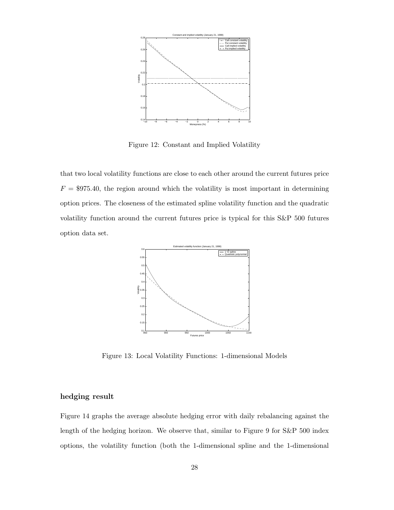

Figure 12: Constant and Implied Volatility

that two local volatility functions are close to each other around the current futures price  $F = $975.40$ , the region around which the volatility is most important in determining option prices. The closeness of the estimated spline volatility function and the quadratic volatility function around the current futures price is typical for this S&P 500 futures option data set.



Figure 13: Local Volatility Functions: 1-dimensional Models

## **hedging result**

Figure 14 graphs the average absolute hedging error with daily rebalancing against the length of the hedging horizon. We observe that, similar to Figure 9 for S&P 500 index options, the volatility function (both the 1-dimensional spline and the 1-dimensional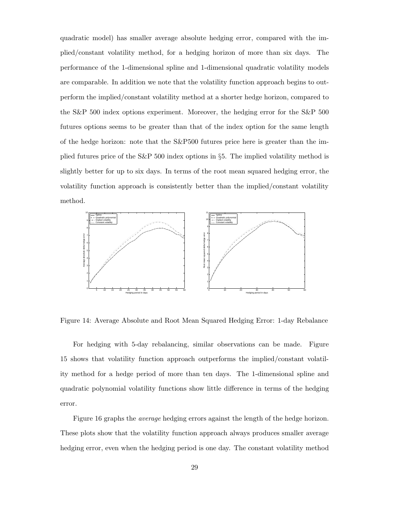quadratic model) has smaller average absolute hedging error, compared with the implied/constant volatility method, for a hedging horizon of more than six days. The performance of the 1-dimensional spline and 1-dimensional quadratic volatility models are comparable. In addition we note that the volatility function approach begins to outperform the implied/constant volatility method at a shorter hedge horizon, compared to the S&P 500 index options experiment. Moreover, the hedging error for the S&P 500 futures options seems to be greater than that of the index option for the same length of the hedge horizon: note that the S&P500 futures price here is greater than the implied futures price of the S&P 500 index options in §5. The implied volatility method is slightly better for up to six days. In terms of the root mean squared hedging error, the volatility function approach is consistently better than the implied/constant volatility method.



Figure 14: Average Absolute and Root Mean Squared Hedging Error: 1-day Rebalance

For hedging with 5-day rebalancing, similar observations can be made. Figure 15 shows that volatility function approach outperforms the implied/constant volatility method for a hedge period of more than ten days. The 1-dimensional spline and quadratic polynomial volatility functions show little difference in terms of the hedging error.

Figure 16 graphs the *average* hedging errors against the length of the hedge horizon. These plots show that the volatility function approach always produces smaller average hedging error, even when the hedging period is one day. The constant volatility method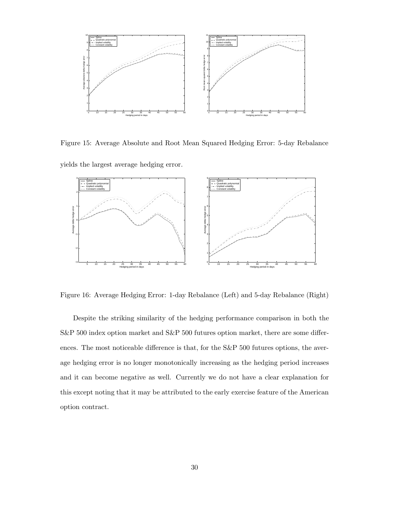

Figure 15: Average Absolute and Root Mean Squared Hedging Error: 5-day Rebalance

yields the largest average hedging error.



Figure 16: Average Hedging Error: 1-day Rebalance (Left) and 5-day Rebalance (Right)

Despite the striking similarity of the hedging performance comparison in both the S&P 500 index option market and S&P 500 futures option market, there are some differences. The most noticeable difference is that, for the S&P 500 futures options, the average hedging error is no longer monotonically increasing as the hedging period increases and it can become negative as well. Currently we do not have a clear explanation for this except noting that it may be attributed to the early exercise feature of the American option contract.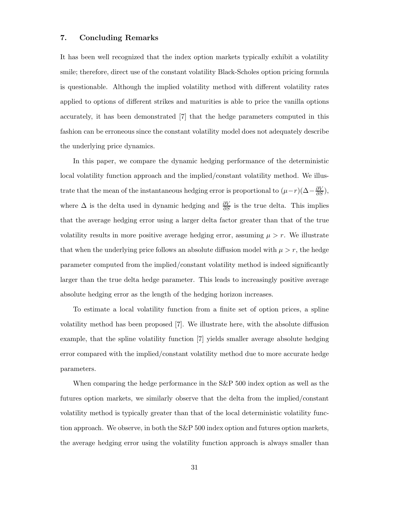#### **7. Concluding Remarks**

It has been well recognized that the index option markets typically exhibit a volatility smile; therefore, direct use of the constant volatility Black-Scholes option pricing formula is questionable. Although the implied volatility method with different volatility rates applied to options of different strikes and maturities is able to price the vanilla options accurately, it has been demonstrated [7] that the hedge parameters computed in this fashion can be erroneous since the constant volatility model does not adequately describe the underlying price dynamics.

In this paper, we compare the dynamic hedging performance of the deterministic local volatility function approach and the implied/constant volatility method. We illustrate that the mean of the instantaneous hedging error is proportional to  $(\mu - r)(\Delta - \frac{\partial V}{\partial S})$ , where  $\Delta$  is the delta used in dynamic hedging and  $\frac{\partial V}{\partial S}$  is the true delta. This implies that the average hedging error using a larger delta factor greater than that of the true volatility results in more positive average hedging error, assuming  $\mu > r$ . We illustrate that when the underlying price follows an absolute diffusion model with  $\mu > r$ , the hedge parameter computed from the implied/constant volatility method is indeed significantly larger than the true delta hedge parameter. This leads to increasingly positive average absolute hedging error as the length of the hedging horizon increases.

To estimate a local volatility function from a finite set of option prices, a spline volatility method has been proposed [7]. We illustrate here, with the absolute diffusion example, that the spline volatility function [7] yields smaller average absolute hedging error compared with the implied/constant volatility method due to more accurate hedge parameters.

When comparing the hedge performance in the S&P 500 index option as well as the futures option markets, we similarly observe that the delta from the implied/constant volatility method is typically greater than that of the local deterministic volatility function approach. We observe, in both the S&P 500 index option and futures option markets, the average hedging error using the volatility function approach is always smaller than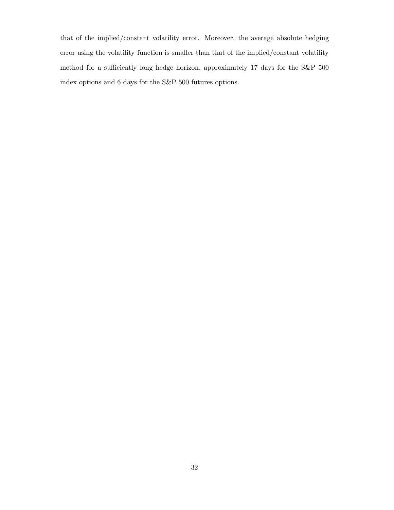that of the implied/constant volatility error. Moreover, the average absolute hedging error using the volatility function is smaller than that of the implied/constant volatility method for a sufficiently long hedge horizon, approximately 17 days for the S&P 500 index options and 6 days for the S&P 500 futures options.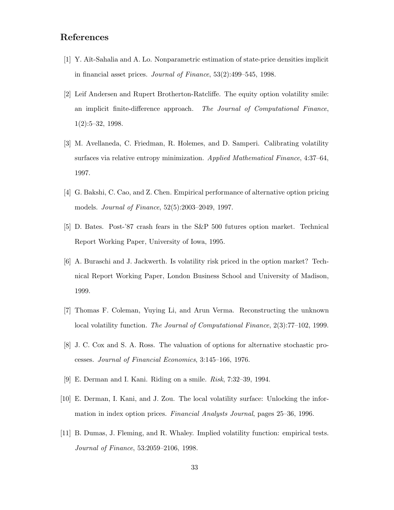## **References**

- [1] Y. A¨ıt-Sahalia and A. Lo. Nonparametric estimation of state-price densities implicit in financial asset prices. *Journal of Finance*, 53(2):499–545, 1998.
- [2] Leif Andersen and Rupert Brotherton-Ratcliffe. The equity option volatility smile: an implicit finite-difference approach. *The Journal of Computational Finance*, 1(2):5–32, 1998.
- [3] M. Avellaneda, C. Friedman, R. Holemes, and D. Samperi. Calibrating volatility surfaces via relative entropy minimization. *Applied Mathematical Finance*, 4:37–64, 1997.
- [4] G. Bakshi, C. Cao, and Z. Chen. Empirical performance of alternative option pricing models. *Journal of Finance*, 52(5):2003–2049, 1997.
- [5] D. Bates. Post-'87 crash fears in the S&P 500 futures option market. Technical Report Working Paper, University of Iowa, 1995.
- [6] A. Buraschi and J. Jackwerth. Is volatility risk priced in the option market? Technical Report Working Paper, London Business School and University of Madison, 1999.
- [7] Thomas F. Coleman, Yuying Li, and Arun Verma. Reconstructing the unknown local volatility function. *The Journal of Computational Finance*, 2(3):77–102, 1999.
- [8] J. C. Cox and S. A. Ross. The valuation of options for alternative stochastic processes. *Journal of Financial Economics*, 3:145–166, 1976.
- [9] E. Derman and I. Kani. Riding on a smile. *Risk*, 7:32–39, 1994.
- [10] E. Derman, I. Kani, and J. Zou. The local volatility surface: Unlocking the information in index option prices. *Financial Analysts Journal*, pages 25–36, 1996.
- [11] B. Dumas, J. Fleming, and R. Whaley. Implied volatility function: empirical tests. *Journal of Finance*, 53:2059–2106, 1998.